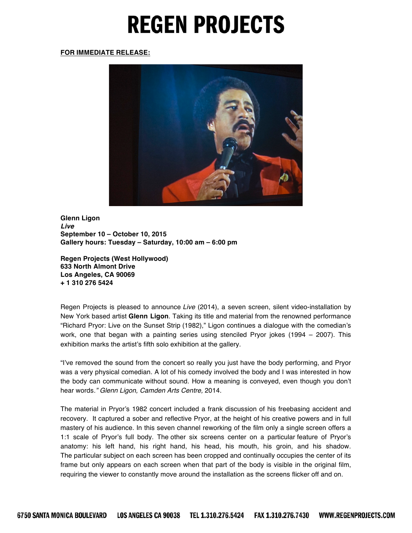## **REGEN PROJECTS**

## **FOR IMMEDIATE RELEASE:**



**Glenn Ligon** *Live* **September 10 – October 10, 2015 Gallery hours: Tuesday – Saturday, 10:00 am – 6:00 pm**

**Regen Projects (West Hollywood) 633 North Almont Drive Los Angeles, CA 90069 + 1 310 276 5424**

Regen Projects is pleased to announce *Live* (2014), a seven screen, silent video-installation by New York based artist **Glenn Ligon**. Taking its title and material from the renowned performance "Richard Pryor: Live on the Sunset Strip (1982)," Ligon continues a dialogue with the comedian's work, one that began with a painting series using stenciled Pryor jokes (1994 – 2007). This exhibition marks the artist's fifth solo exhibition at the gallery.

"I've removed the sound from the concert so really you just have the body performing, and Pryor was a very physical comedian. A lot of his comedy involved the body and I was interested in how the body can communicate without sound. How a meaning is conveyed, even though you don't hear words*." Glenn Ligon, Camden Arts Centre,* 2014.

The material in Pryor's 1982 concert included a frank discussion of his freebasing accident and recovery. It captured a sober and reflective Pryor, at the height of his creative powers and in full mastery of his audience. In this seven channel reworking of the film only a single screen offers a 1:1 scale of Pryor's full body. The other six screens center on a particular feature of Pryor's anatomy: his left hand, his right hand, his head, his mouth, his groin, and his shadow. The particular subject on each screen has been cropped and continually occupies the center of its frame but only appears on each screen when that part of the body is visible in the original film, requiring the viewer to constantly move around the installation as the screens flicker off and on.